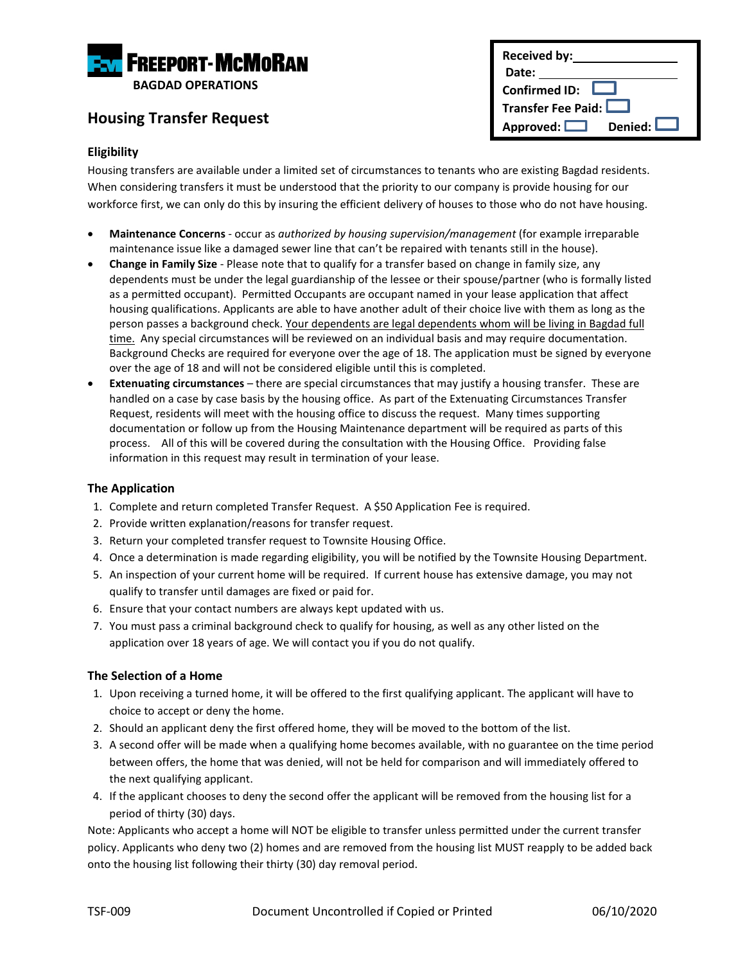

## **Housing Transfer Request**

### **Eligibility**

Housing transfers are available under a limited set of circumstances to tenants who are existing Bagdad residents. When considering transfers it must be understood that the priority to our company is provide housing for our workforce first, we can only do this by insuring the efficient delivery of houses to those who do not have housing.

- **Maintenance Concerns** occur as *authorized by housing supervision/management* (for example irreparable maintenance issue like a damaged sewer line that can't be repaired with tenants still in the house).
- **Change in Family Size** Please note that to qualify for a transfer based on change in family size, any dependents must be under the legal guardianship of the lessee or their spouse/partner (who is formally listed as a permitted occupant). Permitted Occupants are occupant named in your lease application that affect housing qualifications. Applicants are able to have another adult of their choice live with them as long as the person passes a background check. Your dependents are legal dependents whom will be living in Bagdad full time. Any special circumstances will be reviewed on an individual basis and may require documentation. Background Checks are required for everyone over the age of 18. The application must be signed by everyone over the age of 18 and will not be considered eligible until this is completed.
- **Extenuating circumstances** there are special circumstances that may justify a housing transfer. These are handled on a case by case basis by the housing office. As part of the Extenuating Circumstances Transfer Request, residents will meet with the housing office to discuss the request. Many times supporting documentation or follow up from the Housing Maintenance department will be required as parts of this process. All of this will be covered during the consultation with the Housing Office. Providing false information in this request may result in termination of your lease.

### **The Application**

- 1. Complete and return completed Transfer Request. A \$50 Application Fee is required.
- 2. Provide written explanation/reasons for transfer request.
- 3. Return your completed transfer request to Townsite Housing Office.
- 4. Once a determination is made regarding eligibility, you will be notified by the Townsite Housing Department.
- 5. An inspection of your current home will be required. If current house has extensive damage, you may not qualify to transfer until damages are fixed or paid for.
- 6. Ensure that your contact numbers are always kept updated with us.
- 7. You must pass a criminal background check to qualify for housing, as well as any other listed on the application over 18 years of age. We will contact you if you do not qualify.

#### **The Selection of a Home**

- 1. Upon receiving a turned home, it will be offered to the first qualifying applicant. The applicant will have to choice to accept or deny the home.
- 2. Should an applicant deny the first offered home, they will be moved to the bottom of the list.
- 3. A second offer will be made when a qualifying home becomes available, with no guarantee on the time period between offers, the home that was denied, will not be held for comparison and will immediately offered to the next qualifying applicant.
- 4. If the applicant chooses to deny the second offer the applicant will be removed from the housing list for a period of thirty (30) days.

Note: Applicants who accept a home will NOT be eligible to transfer unless permitted under the current transfer policy. Applicants who deny two (2) homes and are removed from the housing list MUST reapply to be added back onto the housing list following their thirty (30) day removal period.

| <b>Received by:</b>           |  |  |
|-------------------------------|--|--|
| Date:                         |  |  |
| <b>Confirmed ID:</b>          |  |  |
| Transfer Fee Paid:            |  |  |
| Denied: L<br>Approved: $\Box$ |  |  |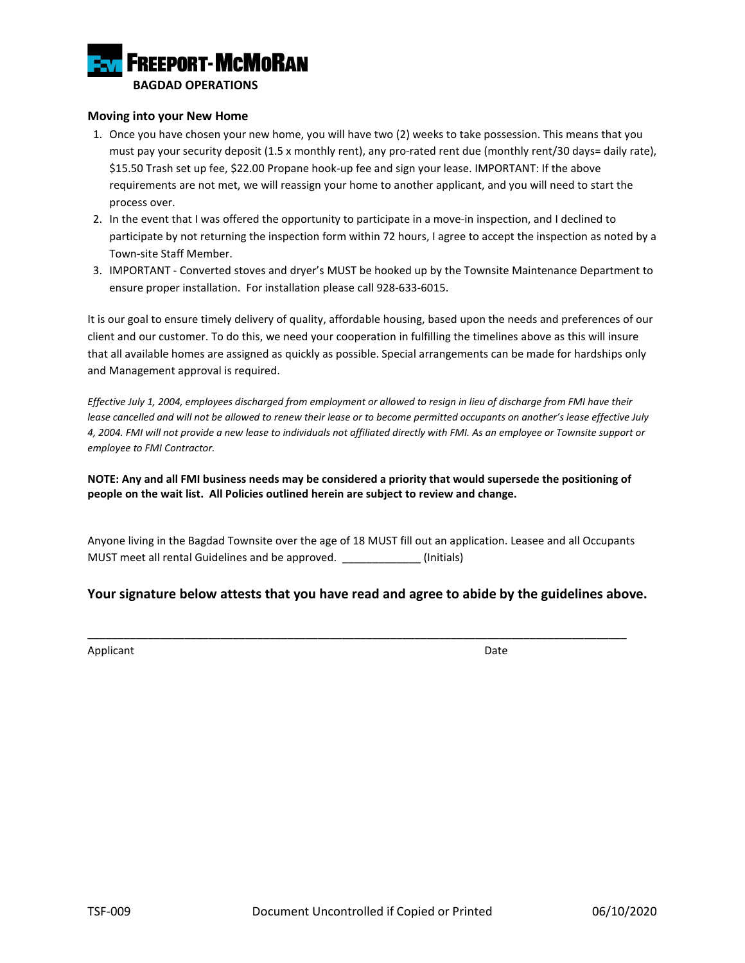

#### **Moving into your New Home**

- 1. Once you have chosen your new home, you will have two (2) weeks to take possession. This means that you must pay your security deposit (1.5 x monthly rent), any pro-rated rent due (monthly rent/30 days= daily rate), \$15.50 Trash set up fee, \$22.00 Propane hook-up fee and sign your lease. IMPORTANT: If the above requirements are not met, we will reassign your home to another applicant, and you will need to start the process over.
- 2. In the event that I was offered the opportunity to participate in a move-in inspection, and I declined to participate by not returning the inspection form within 72 hours, I agree to accept the inspection as noted by a Town-site Staff Member.
- 3. IMPORTANT Converted stoves and dryer's MUST be hooked up by the Townsite Maintenance Department to ensure proper installation. For installation please call 928-633-6015.

It is our goal to ensure timely delivery of quality, affordable housing, based upon the needs and preferences of our client and our customer. To do this, we need your cooperation in fulfilling the timelines above as this will insure that all available homes are assigned as quickly as possible. Special arrangements can be made for hardships only and Management approval is required.

*Effective July 1, 2004, employees discharged from employment or allowed to resign in lieu of discharge from FMI have their lease cancelled and will not be allowed to renew their lease or to become permitted occupants on another's lease effective July 4, 2004. FMI will not provide a new lease to individuals not affiliated directly with FMI. As an employee or Townsite support or employee to FMI Contractor.*

**NOTE: Any and all FMI business needs may be considered a priority that would supersede the positioning of people on the wait list. All Policies outlined herein are subject to review and change.**

Anyone living in the Bagdad Townsite over the age of 18 MUST fill out an application. Leasee and all Occupants MUST meet all rental Guidelines and be approved. \_\_\_\_\_\_\_\_\_\_\_\_\_ (Initials)

### **Your signature below attests that you have read and agree to abide by the guidelines above.**

\_\_\_\_\_\_\_\_\_\_\_\_\_\_\_\_\_\_\_\_\_\_\_\_\_\_\_\_\_\_\_\_\_\_\_\_\_\_\_\_\_\_\_\_\_\_\_\_\_\_\_\_\_\_\_\_\_\_\_\_\_\_\_\_\_\_\_\_\_\_\_\_\_\_\_\_\_\_\_\_\_\_\_\_\_\_\_\_\_

Applicant Date **Date**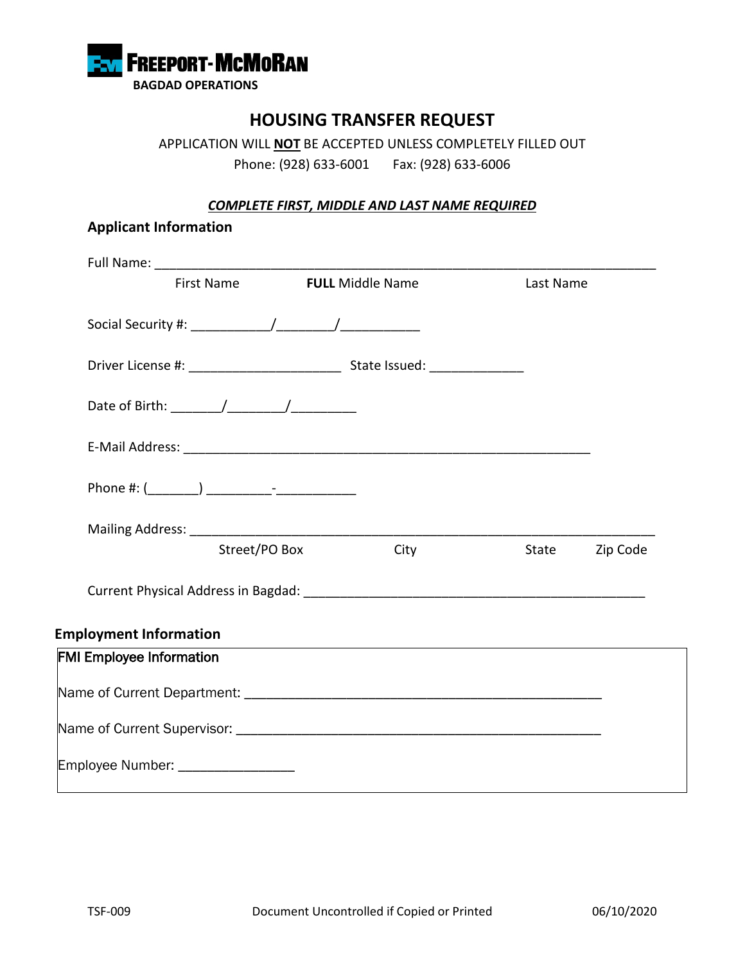

# **HOUSING TRANSFER REQUEST**

APPLICATION WILL **NOT** BE ACCEPTED UNLESS COMPLETELY FILLED OUT Phone: (928) 633-6001 Fax: (928) 633-6006

### *COMPLETE FIRST, MIDDLE AND LAST NAME REQUIRED*

| First Name                      |               | <b>FULL Middle Name</b> | Last Name      |  |
|---------------------------------|---------------|-------------------------|----------------|--|
|                                 |               |                         |                |  |
|                                 |               |                         |                |  |
|                                 |               |                         |                |  |
|                                 |               |                         |                |  |
|                                 |               |                         |                |  |
|                                 | Street/PO Box | City                    | State Zip Code |  |
|                                 |               |                         |                |  |
| <b>Employment Information</b>   |               |                         |                |  |
| <b>FMI Employee Information</b> |               |                         |                |  |
|                                 |               |                         |                |  |
|                                 |               |                         |                |  |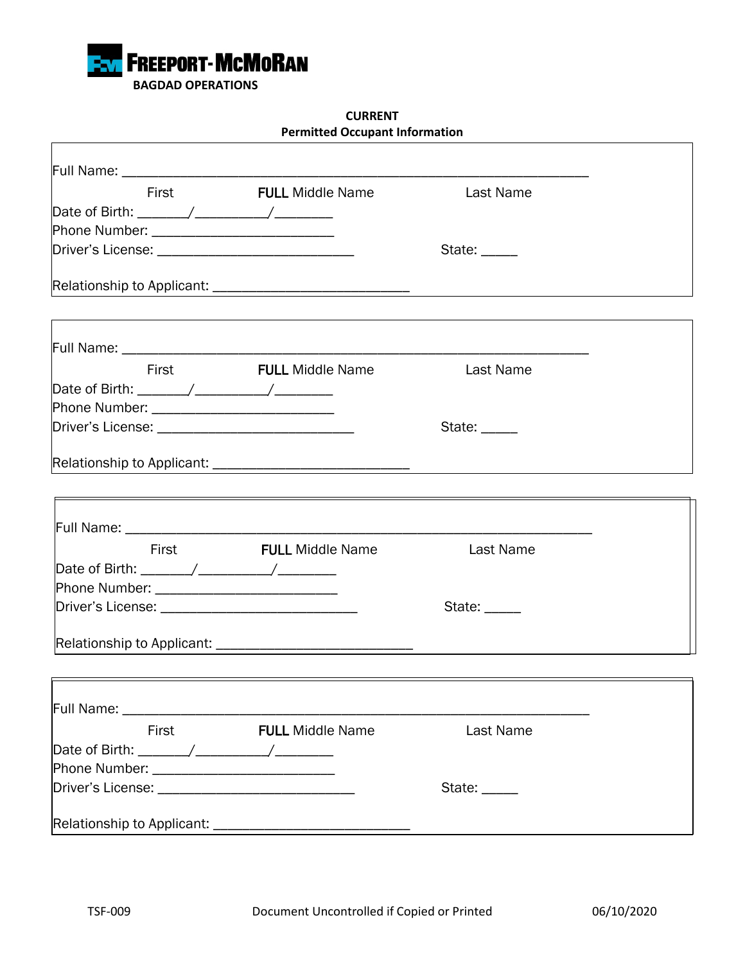

### **CURRENT Permitted Occupant Information**

| First                                                                                                                                                                                                                          | <b>FULL Middle Name</b> | <b>Last Name</b>         |  |
|--------------------------------------------------------------------------------------------------------------------------------------------------------------------------------------------------------------------------------|-------------------------|--------------------------|--|
| Date of Birth: _______/ __________/ __________                                                                                                                                                                                 |                         |                          |  |
| Phone Number: _____________________________                                                                                                                                                                                    |                         |                          |  |
|                                                                                                                                                                                                                                |                         | State: _____             |  |
|                                                                                                                                                                                                                                |                         |                          |  |
|                                                                                                                                                                                                                                |                         |                          |  |
|                                                                                                                                                                                                                                |                         |                          |  |
| <b>First</b>                                                                                                                                                                                                                   | <b>FULL</b> Middle Name | Last Name                |  |
|                                                                                                                                                                                                                                |                         |                          |  |
|                                                                                                                                                                                                                                |                         |                          |  |
|                                                                                                                                                                                                                                |                         | State: _____             |  |
|                                                                                                                                                                                                                                |                         |                          |  |
|                                                                                                                                                                                                                                |                         |                          |  |
|                                                                                                                                                                                                                                |                         |                          |  |
| Full Name: ______________________                                                                                                                                                                                              |                         |                          |  |
|                                                                                                                                                                                                                                | First FULL Middle Name  | Last Name                |  |
|                                                                                                                                                                                                                                |                         |                          |  |
| Phone Number: ______________________________                                                                                                                                                                                   |                         |                          |  |
|                                                                                                                                                                                                                                |                         | State: $\_\_\_\_\_\_\_\$ |  |
|                                                                                                                                                                                                                                |                         |                          |  |
|                                                                                                                                                                                                                                |                         |                          |  |
|                                                                                                                                                                                                                                |                         |                          |  |
| Full Name: _____________________                                                                                                                                                                                               |                         |                          |  |
| First                                                                                                                                                                                                                          | <b>FULL Middle Name</b> | Last Name                |  |
|                                                                                                                                                                                                                                |                         |                          |  |
|                                                                                                                                                                                                                                |                         |                          |  |
| Driver's License: The Contract of the Contract of the Contract of the Contract of the Contract of the Contract of the Contract of the Contract of the Contract of the Contract of the Contract of the Contract of the Contract |                         | State: _____             |  |
| Relationship to Applicant: ________________________________                                                                                                                                                                    |                         |                          |  |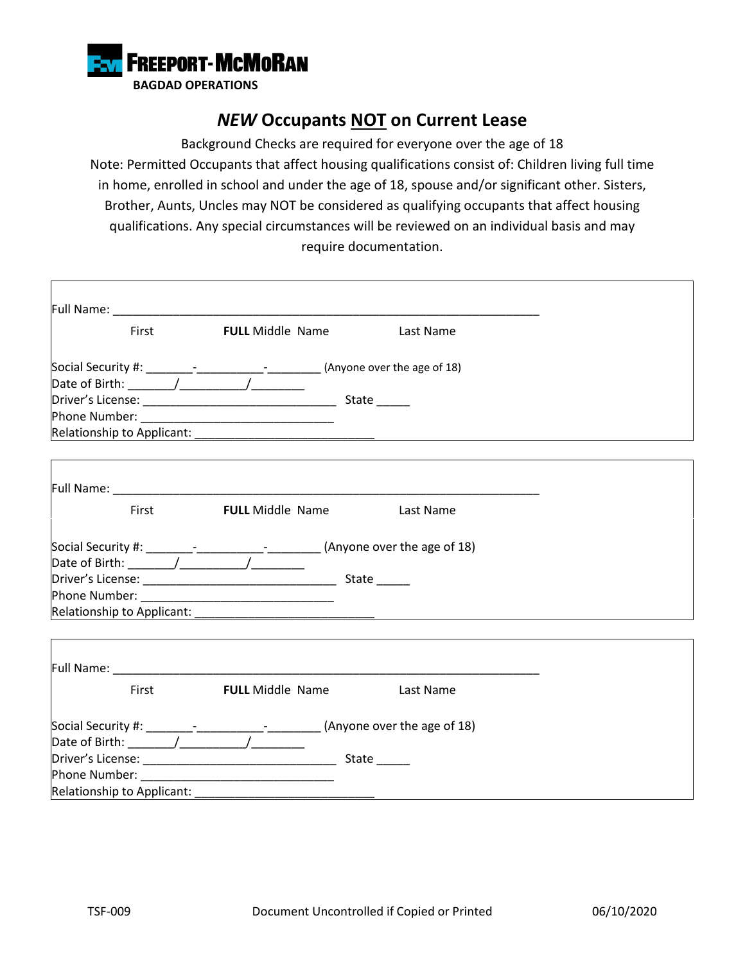

# *NEW* **Occupants NOT on Current Lease**

Background Checks are required for everyone over the age of 18 Note: Permitted Occupants that affect housing qualifications consist of: Children living full time in home, enrolled in school and under the age of 18, spouse and/or significant other. Sisters, Brother, Aunts, Uncles may NOT be considered as qualifying occupants that affect housing qualifications. Any special circumstances will be reviewed on an individual basis and may require documentation.

|                                                                                  | First <b>FULL</b> Middle Name Last Name |              |
|----------------------------------------------------------------------------------|-----------------------------------------|--------------|
| Social Security #: ________-________________-________(Anyone over the age of 18) |                                         |              |
|                                                                                  |                                         |              |
|                                                                                  |                                         | State ______ |
|                                                                                  |                                         |              |
|                                                                                  |                                         |              |
|                                                                                  |                                         |              |
|                                                                                  |                                         |              |
|                                                                                  | First <b>FULL Middle Name</b> Last Name |              |
| Social Security #: ________-________________-________(Anyone over the age of 18) |                                         |              |
|                                                                                  |                                         |              |
|                                                                                  |                                         | State ______ |
|                                                                                  |                                         |              |
|                                                                                  |                                         |              |
|                                                                                  |                                         |              |
|                                                                                  |                                         |              |
|                                                                                  | First <b>FULL</b> Middle Name Last Name |              |
| Social Security #: __________________________________(Anyone over the age of 18) |                                         |              |
|                                                                                  |                                         |              |
|                                                                                  |                                         | State ______ |
|                                                                                  |                                         |              |
| Relationship to Applicant: _______                                               |                                         |              |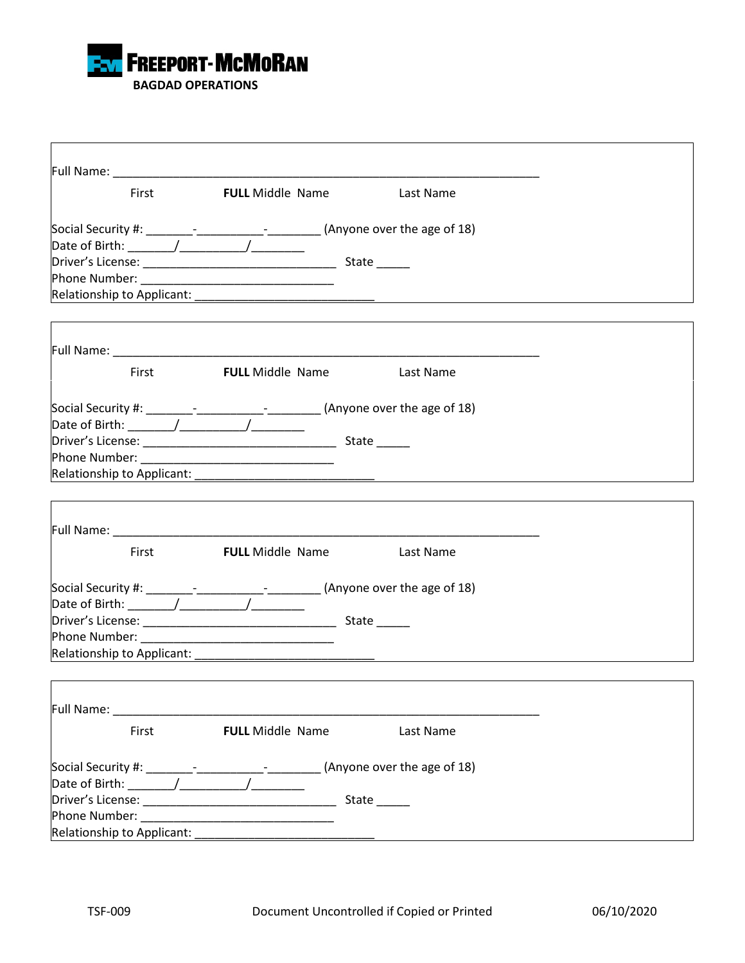

| First                                                                                                                                                                                                                               | <b>FULL</b> Middle Name                 | <b>East Name</b>                  |  |
|-------------------------------------------------------------------------------------------------------------------------------------------------------------------------------------------------------------------------------------|-----------------------------------------|-----------------------------------|--|
| Social Security #: ________-_______________________(Anyone over the age of 18)                                                                                                                                                      |                                         |                                   |  |
|                                                                                                                                                                                                                                     |                                         |                                   |  |
|                                                                                                                                                                                                                                     |                                         |                                   |  |
|                                                                                                                                                                                                                                     |                                         |                                   |  |
|                                                                                                                                                                                                                                     |                                         |                                   |  |
|                                                                                                                                                                                                                                     |                                         |                                   |  |
|                                                                                                                                                                                                                                     |                                         |                                   |  |
| First                                                                                                                                                                                                                               |                                         | <b>FULL</b> Middle Name Last Name |  |
| Social Security #: ________-_______________-_________(Anyone over the age of 18)                                                                                                                                                    |                                         |                                   |  |
| Date of Birth: $\sqrt{2\pi}$                                                                                                                                                                                                        |                                         |                                   |  |
|                                                                                                                                                                                                                                     |                                         |                                   |  |
| Phone Number: <u>__________________________________</u>                                                                                                                                                                             |                                         |                                   |  |
|                                                                                                                                                                                                                                     |                                         |                                   |  |
|                                                                                                                                                                                                                                     |                                         |                                   |  |
|                                                                                                                                                                                                                                     |                                         |                                   |  |
|                                                                                                                                                                                                                                     | First <b>FULL</b> Middle Name Last Name |                                   |  |
|                                                                                                                                                                                                                                     |                                         |                                   |  |
|                                                                                                                                                                                                                                     |                                         |                                   |  |
|                                                                                                                                                                                                                                     |                                         |                                   |  |
|                                                                                                                                                                                                                                     |                                         | State _____                       |  |
|                                                                                                                                                                                                                                     |                                         |                                   |  |
|                                                                                                                                                                                                                                     |                                         |                                   |  |
|                                                                                                                                                                                                                                     |                                         |                                   |  |
| <b>Full Name:</b> The Contract of the Contract of the Contract of the Contract of the Contract of the Contract of the Contract of the Contract of the Contract of the Contract of the Contract of the Contract of the Contract of t |                                         |                                   |  |
| First                                                                                                                                                                                                                               | <b>FULL</b> Middle Name                 | Last Name                         |  |
| Social Security #: ________-_________________________(Anyone over the age of 18)                                                                                                                                                    |                                         |                                   |  |
|                                                                                                                                                                                                                                     |                                         |                                   |  |
|                                                                                                                                                                                                                                     |                                         | State ______                      |  |
|                                                                                                                                                                                                                                     |                                         |                                   |  |
|                                                                                                                                                                                                                                     |                                         |                                   |  |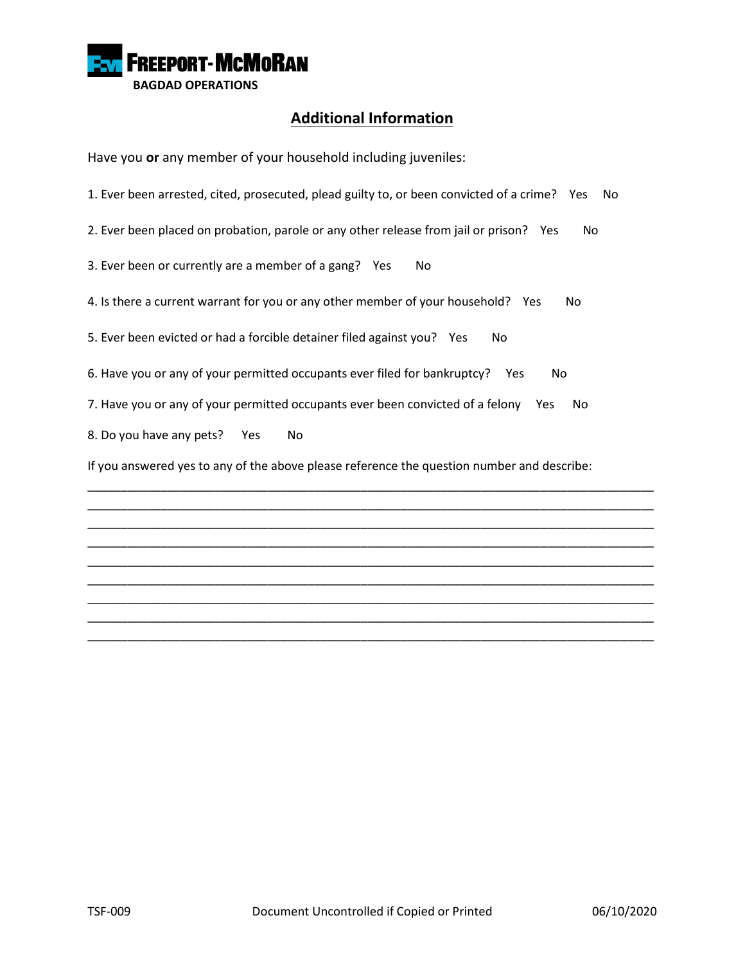

## **Additional Information**

Have you **or** any member of your household including juveniles:

1. Ever been arrested, cited, prosecuted, plead guilty to, or been convicted of a crime? Yes No

2. Ever been placed on probation, parole or any other release from jail or prison? Yes No

3. Ever been or currently are a member of a gang? Yes No

4. Is there a current warrant for you or any other member of your household? Yes No

5. Ever been evicted or had a forcible detainer filed against you? Yes No

6. Have you or any of your permitted occupants ever filed for bankruptcy? Yes No

7. Have you or any of your permitted occupants ever been convicted of a felony Yes No

8. Do you have any pets? Yes No

If you answered yes to any of the above please reference the question number and describe:

\_\_\_\_\_\_\_\_\_\_\_\_\_\_\_\_\_\_\_\_\_\_\_\_\_\_\_\_\_\_\_\_\_\_\_\_\_\_\_\_\_\_\_\_\_\_\_\_\_\_\_\_\_\_\_\_\_\_\_\_\_\_\_\_\_\_\_\_\_\_\_\_\_\_\_\_\_\_\_\_\_\_\_\_\_ \_\_\_\_\_\_\_\_\_\_\_\_\_\_\_\_\_\_\_\_\_\_\_\_\_\_\_\_\_\_\_\_\_\_\_\_\_\_\_\_\_\_\_\_\_\_\_\_\_\_\_\_\_\_\_\_\_\_\_\_\_\_\_\_\_\_\_\_\_\_\_\_\_\_\_\_\_\_\_\_\_\_\_\_\_ \_\_\_\_\_\_\_\_\_\_\_\_\_\_\_\_\_\_\_\_\_\_\_\_\_\_\_\_\_\_\_\_\_\_\_\_\_\_\_\_\_\_\_\_\_\_\_\_\_\_\_\_\_\_\_\_\_\_\_\_\_\_\_\_\_\_\_\_\_\_\_\_\_\_\_\_\_\_\_\_\_\_\_\_\_ \_\_\_\_\_\_\_\_\_\_\_\_\_\_\_\_\_\_\_\_\_\_\_\_\_\_\_\_\_\_\_\_\_\_\_\_\_\_\_\_\_\_\_\_\_\_\_\_\_\_\_\_\_\_\_\_\_\_\_\_\_\_\_\_\_\_\_\_\_\_\_\_\_\_\_\_\_\_\_\_\_\_\_\_\_ \_\_\_\_\_\_\_\_\_\_\_\_\_\_\_\_\_\_\_\_\_\_\_\_\_\_\_\_\_\_\_\_\_\_\_\_\_\_\_\_\_\_\_\_\_\_\_\_\_\_\_\_\_\_\_\_\_\_\_\_\_\_\_\_\_\_\_\_\_\_\_\_\_\_\_\_\_\_\_\_\_\_\_\_\_ \_\_\_\_\_\_\_\_\_\_\_\_\_\_\_\_\_\_\_\_\_\_\_\_\_\_\_\_\_\_\_\_\_\_\_\_\_\_\_\_\_\_\_\_\_\_\_\_\_\_\_\_\_\_\_\_\_\_\_\_\_\_\_\_\_\_\_\_\_\_\_\_\_\_\_\_\_\_\_\_\_\_\_\_\_ \_\_\_\_\_\_\_\_\_\_\_\_\_\_\_\_\_\_\_\_\_\_\_\_\_\_\_\_\_\_\_\_\_\_\_\_\_\_\_\_\_\_\_\_\_\_\_\_\_\_\_\_\_\_\_\_\_\_\_\_\_\_\_\_\_\_\_\_\_\_\_\_\_\_\_\_\_\_\_\_\_\_\_\_\_ \_\_\_\_\_\_\_\_\_\_\_\_\_\_\_\_\_\_\_\_\_\_\_\_\_\_\_\_\_\_\_\_\_\_\_\_\_\_\_\_\_\_\_\_\_\_\_\_\_\_\_\_\_\_\_\_\_\_\_\_\_\_\_\_\_\_\_\_\_\_\_\_\_\_\_\_\_\_\_\_\_\_\_\_\_ \_\_\_\_\_\_\_\_\_\_\_\_\_\_\_\_\_\_\_\_\_\_\_\_\_\_\_\_\_\_\_\_\_\_\_\_\_\_\_\_\_\_\_\_\_\_\_\_\_\_\_\_\_\_\_\_\_\_\_\_\_\_\_\_\_\_\_\_\_\_\_\_\_\_\_\_\_\_\_\_\_\_\_\_\_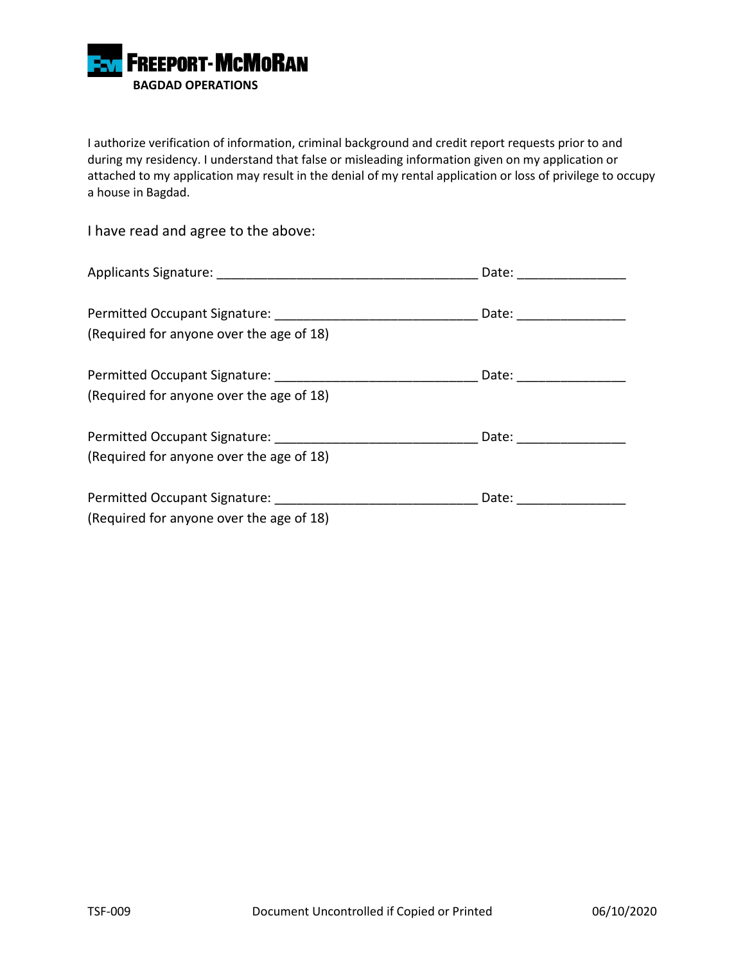

I authorize verification of information, criminal background and credit report requests prior to and during my residency. I understand that false or misleading information given on my application or attached to my application may result in the denial of my rental application or loss of privilege to occupy a house in Bagdad.

I have read and agree to the above:

|                                          | Date: ____________      |
|------------------------------------------|-------------------------|
| (Required for anyone over the age of 18) | Date: ________________  |
| (Required for anyone over the age of 18) | Date: _________________ |
| (Required for anyone over the age of 18) | Date: _______________   |
| (Required for anyone over the age of 18) | Date:                   |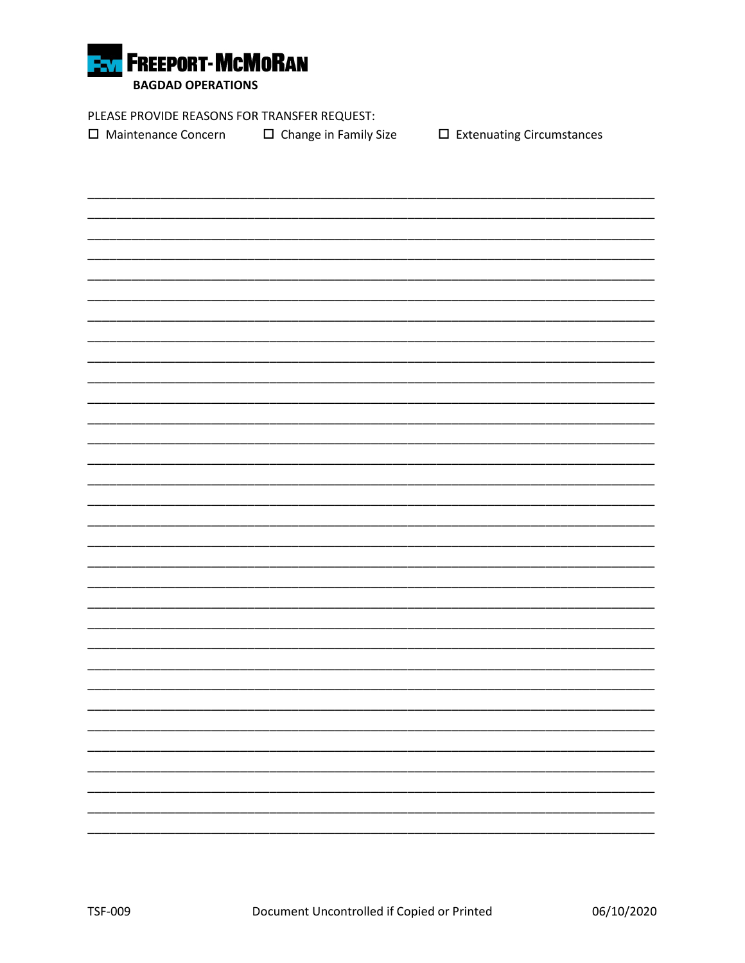

PLEASE PROVIDE REASONS FOR TRANSFER REQUEST:

□ Maintenance Concern  $\Box$  Change in Family Size  $\square$  Extenuating Circumstances